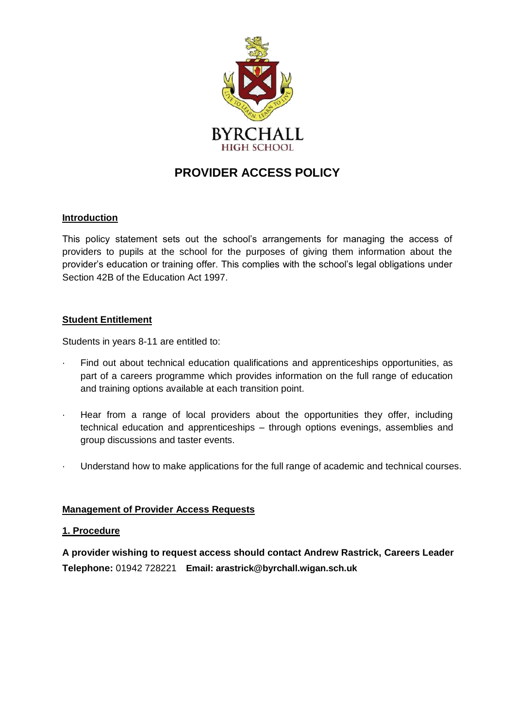

# **PROVIDER ACCESS POLICY**

### **Introduction**

This policy statement sets out the school's arrangements for managing the access of providers to pupils at the school for the purposes of giving them information about the provider's education or training offer. This complies with the school's legal obligations under Section 42B of the Education Act 1997.

#### **Student Entitlement**

Students in years 8-11 are entitled to:

- Find out about technical education qualifications and apprenticeships opportunities, as part of a careers programme which provides information on the full range of education and training options available at each transition point.
- · Hear from a range of local providers about the opportunities they offer, including technical education and apprenticeships – through options evenings, assemblies and group discussions and taster events.
- · Understand how to make applications for the full range of academic and technical courses.

#### **Management of Provider Access Requests**

#### **1. Procedure**

**A provider wishing to request access should contact Andrew Rastrick, Careers Leader Telephone:** 01942 728221 **Email: arastrick@byrchall.wigan.sch.uk**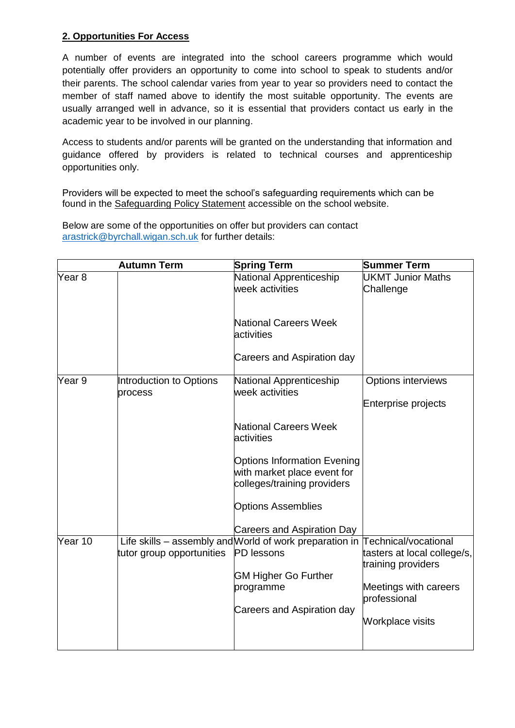## **2. Opportunities For Access**

A number of events are integrated into the school careers programme which would potentially offer providers an opportunity to come into school to speak to students and/or their parents. The school calendar varies from year to year so providers need to contact the member of staff named above to identify the most suitable opportunity. The events are usually arranged well in advance, so it is essential that providers contact us early in the academic year to be involved in our planning.

Access to students and/or parents will be granted on the understanding that information and guidance offered by providers is related to technical courses and apprenticeship opportunities only.

Providers will be expected to meet the school's safeguarding requirements which can be found in the Safeguarding Policy Statement accessible on the school website.

Below are some of the opportunities on offer but providers can contact [arastrick@byrchall.wigan.sch.uk](mailto:arastrick@byrchall.wigan.sch.uk) for further details:

|                   | <b>Autumn Term</b>        | <b>Spring Term</b>                                                           | <b>Summer Term</b>                                |
|-------------------|---------------------------|------------------------------------------------------------------------------|---------------------------------------------------|
| Year <sub>8</sub> |                           | National Apprenticeship                                                      | <b>UKMT Junior Maths</b>                          |
|                   |                           | week activities                                                              | Challenge                                         |
|                   |                           |                                                                              |                                                   |
|                   |                           | <b>National Careers Week</b>                                                 |                                                   |
|                   |                           | activities                                                                   |                                                   |
|                   |                           | Careers and Aspiration day                                                   |                                                   |
| Year 9            | Introduction to Options   | National Apprenticeship                                                      | Options interviews                                |
|                   | process                   | week activities                                                              |                                                   |
|                   |                           |                                                                              | Enterprise projects                               |
|                   |                           | <b>National Careers Week</b>                                                 |                                                   |
|                   |                           | activities                                                                   |                                                   |
|                   |                           | <b>Options Information Evening</b>                                           |                                                   |
|                   |                           | with market place event for                                                  |                                                   |
|                   |                           | colleges/training providers                                                  |                                                   |
|                   |                           | <b>Options Assemblies</b>                                                    |                                                   |
|                   |                           |                                                                              |                                                   |
|                   |                           | <b>Careers and Aspiration Day</b>                                            |                                                   |
| Year 10           |                           | Life skills - assembly and World of work preparation in Technical/vocational |                                                   |
|                   | tutor group opportunities | <b>PD</b> lessons                                                            | tasters at local college/s,<br>training providers |
|                   |                           | <b>GM Higher Go Further</b>                                                  |                                                   |
|                   |                           | programme                                                                    | Meetings with careers<br>professional             |
|                   |                           | Careers and Aspiration day                                                   |                                                   |
|                   |                           |                                                                              | Workplace visits                                  |
|                   |                           |                                                                              |                                                   |
|                   |                           |                                                                              |                                                   |